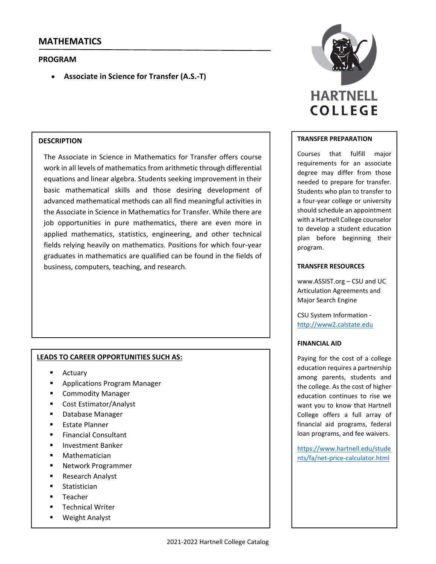## **PROGRAM**

**Associate in Science for Transfer (A.S.‐T)**

## **DESCRIPTION**

The Associate in Science in Mathematics for Transfer offers course work in all levels of mathematics from arithmetic through differential equations and linear algebra. Students seeking improvement in their basic mathematical skills and those desiring development of advanced mathematical methods can all find meaningful activities in the Associate in Science in Mathematics for Transfer. While there are job opportunities in pure mathematics, there are even more in applied mathematics, statistics, engineering, and other technical fields relying heavily on mathematics. Positions for which four‐year graduates in mathematics are qualified can be found in the fields of business, computers, teaching, and research.

### **LEADS TO CAREER OPPORTUNITIES SUCH AS:**

- **Actuary**
- Applications Program Manager
- **E** Commodity Manager
- Cost Estimator/Analyst
- Database Manager
- **Estate Planner**
- Financial Consultant
- **Investment Banker**
- Mathematician
- Network Programmer
- Research Analyst
- **Statistician**
- Teacher
- **Technical Writer**
- Weight Analyst



#### **TRANSFER PREPARATION**

Courses that fulfill major requirements for an associate degree may differ from those needed to prepare for transfer. Students who plan to transfer to a four‐year college or university should schedule an appointment with a Hartnell College counselor to develop a student education plan before beginning their program.

#### **TRANSFER RESOURCES**

www.ASSIST.org – CSU and UC Articulation Agreements and Major Search Engine

CSU System Information ‐ http://www2.calstate.edu

#### **FINANCIAL AID**

Paying for the cost of a college education requires a partnership among parents, students and the college. As the cost of higher education continues to rise we want you to know that Hartnell College offers a full array of financial aid programs, federal loan programs, and fee waivers.

https://www.hartnell.edu/stude nts/fa/net‐price‐calculator.html